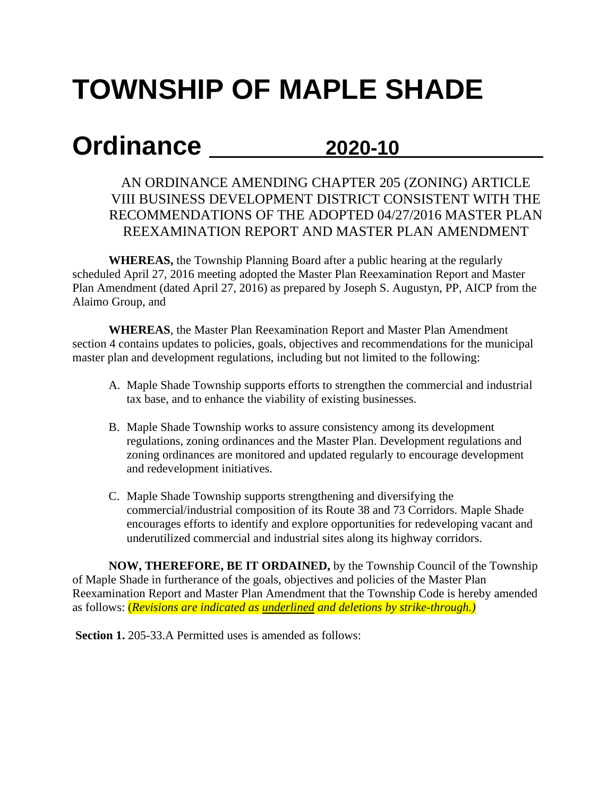## **TOWNSHIP OF MAPLE SHADE**

## **Ordinance 2020-10**

## AN ORDINANCE AMENDING CHAPTER 205 (ZONING) ARTICLE VIII BUSINESS DEVELOPMENT DISTRICT CONSISTENT WITH THE RECOMMENDATIONS OF THE ADOPTED 04/27/2016 MASTER PLAN REEXAMINATION REPORT AND MASTER PLAN AMENDMENT

**WHEREAS,** the Township Planning Board after a public hearing at the regularly scheduled April 27, 2016 meeting adopted the Master Plan Reexamination Report and Master Plan Amendment (dated April 27, 2016) as prepared by Joseph S. Augustyn, PP, AICP from the Alaimo Group, and

**WHEREAS**, the Master Plan Reexamination Report and Master Plan Amendment section 4 contains updates to policies, goals, objectives and recommendations for the municipal master plan and development regulations, including but not limited to the following:

- A. Maple Shade Township supports efforts to strengthen the commercial and industrial tax base, and to enhance the viability of existing businesses.
- B. Maple Shade Township works to assure consistency among its development regulations, zoning ordinances and the Master Plan. Development regulations and zoning ordinances are monitored and updated regularly to encourage development and redevelopment initiatives.
- C. Maple Shade Township supports strengthening and diversifying the commercial/industrial composition of its Route 38 and 73 Corridors. Maple Shade encourages efforts to identify and explore opportunities for redeveloping vacant and underutilized commercial and industrial sites along its highway corridors.

**NOW, THEREFORE, BE IT ORDAINED,** by the Township Council of the Township of Maple Shade in furtherance of the goals, objectives and policies of the Master Plan Reexamination Report and Master Plan Amendment that the Township Code is hereby amended as follows: (*Revisions are indicated as underlined and deletions by strike-through.)*

**Section 1.** 205-33.A Permitted uses is amended as follows: